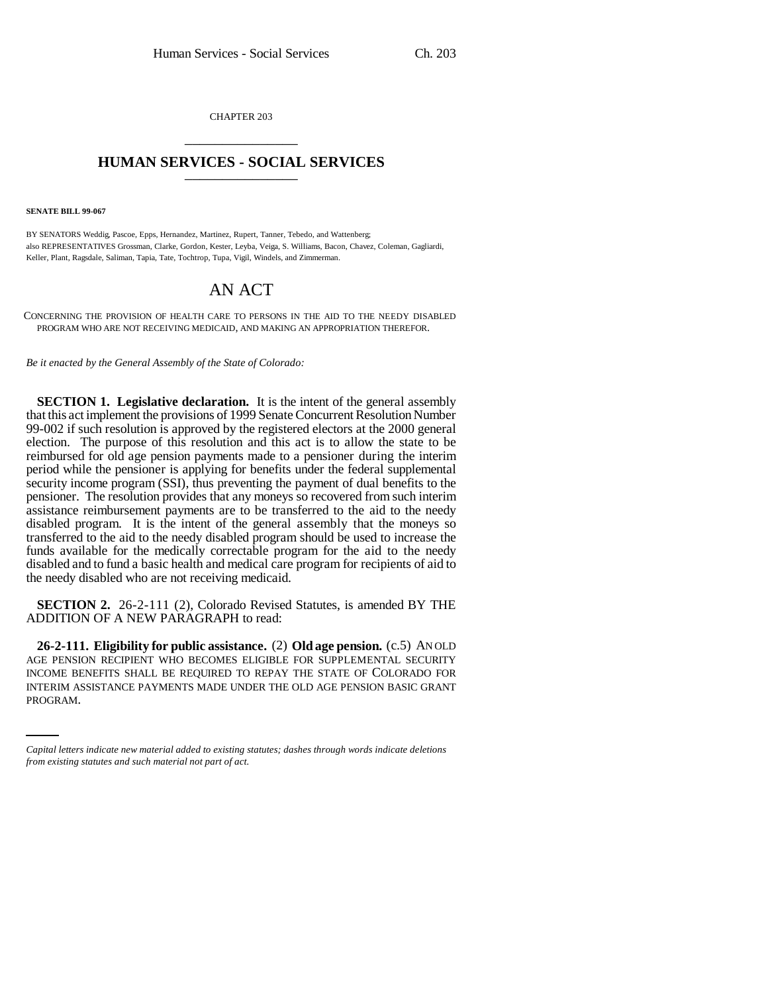CHAPTER 203 \_\_\_\_\_\_\_\_\_\_\_\_\_\_\_

## **HUMAN SERVICES - SOCIAL SERVICES** \_\_\_\_\_\_\_\_\_\_\_\_\_\_\_

**SENATE BILL 99-067** 

BY SENATORS Weddig, Pascoe, Epps, Hernandez, Martinez, Rupert, Tanner, Tebedo, and Wattenberg; also REPRESENTATIVES Grossman, Clarke, Gordon, Kester, Leyba, Veiga, S. Williams, Bacon, Chavez, Coleman, Gagliardi, Keller, Plant, Ragsdale, Saliman, Tapia, Tate, Tochtrop, Tupa, Vigil, Windels, and Zimmerman.

## AN ACT

CONCERNING THE PROVISION OF HEALTH CARE TO PERSONS IN THE AID TO THE NEEDY DISABLED PROGRAM WHO ARE NOT RECEIVING MEDICAID, AND MAKING AN APPROPRIATION THEREFOR.

*Be it enacted by the General Assembly of the State of Colorado:*

**SECTION 1. Legislative declaration.** It is the intent of the general assembly that this act implement the provisions of 1999 Senate Concurrent Resolution Number 99-002 if such resolution is approved by the registered electors at the 2000 general election. The purpose of this resolution and this act is to allow the state to be reimbursed for old age pension payments made to a pensioner during the interim period while the pensioner is applying for benefits under the federal supplemental security income program (SSI), thus preventing the payment of dual benefits to the pensioner. The resolution provides that any moneys so recovered from such interim assistance reimbursement payments are to be transferred to the aid to the needy disabled program. It is the intent of the general assembly that the moneys so transferred to the aid to the needy disabled program should be used to increase the funds available for the medically correctable program for the aid to the needy disabled and to fund a basic health and medical care program for recipients of aid to the needy disabled who are not receiving medicaid.

**SECTION 2.** 26-2-111 (2), Colorado Revised Statutes, is amended BY THE ADDITION OF A NEW PARAGRAPH to read:

INCOME BENEFITS SHALL BE REQUIRED TO REPAY THE STATE OF COLORADO FOR **26-2-111. Eligibility for public assistance.** (2) **Old age pension.** (c.5) AN OLD AGE PENSION RECIPIENT WHO BECOMES ELIGIBLE FOR SUPPLEMENTAL SECURITY INTERIM ASSISTANCE PAYMENTS MADE UNDER THE OLD AGE PENSION BASIC GRANT PROGRAM.

*Capital letters indicate new material added to existing statutes; dashes through words indicate deletions from existing statutes and such material not part of act.*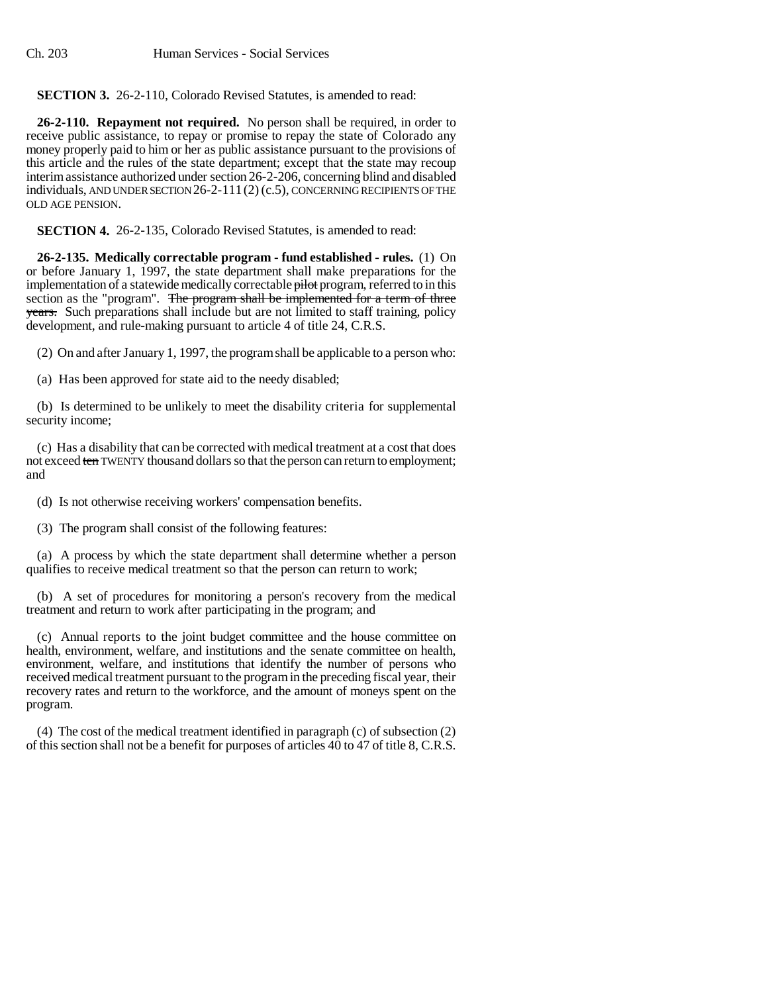## **SECTION 3.** 26-2-110, Colorado Revised Statutes, is amended to read:

**26-2-110. Repayment not required.** No person shall be required, in order to receive public assistance, to repay or promise to repay the state of Colorado any money properly paid to him or her as public assistance pursuant to the provisions of this article and the rules of the state department; except that the state may recoup interim assistance authorized under section 26-2-206, concerning blind and disabled individuals, AND UNDER SECTION 26-2-111(2) (c.5), CONCERNING RECIPIENTS OF THE OLD AGE PENSION.

**SECTION 4.** 26-2-135, Colorado Revised Statutes, is amended to read:

**26-2-135. Medically correctable program - fund established - rules.** (1) On or before January 1, 1997, the state department shall make preparations for the implementation of a statewide medically correctable pilot program, referred to in this section as the "program". The program shall be implemented for a term of three years. Such preparations shall include but are not limited to staff training, policy development, and rule-making pursuant to article 4 of title 24, C.R.S.

(2) On and after January 1, 1997, the program shall be applicable to a person who:

(a) Has been approved for state aid to the needy disabled;

(b) Is determined to be unlikely to meet the disability criteria for supplemental security income;

(c) Has a disability that can be corrected with medical treatment at a cost that does not exceed ten TWENTY thousand dollars so that the person can return to employment; and

(d) Is not otherwise receiving workers' compensation benefits.

(3) The program shall consist of the following features:

(a) A process by which the state department shall determine whether a person qualifies to receive medical treatment so that the person can return to work;

(b) A set of procedures for monitoring a person's recovery from the medical treatment and return to work after participating in the program; and

(c) Annual reports to the joint budget committee and the house committee on health, environment, welfare, and institutions and the senate committee on health, environment, welfare, and institutions that identify the number of persons who received medical treatment pursuant to the program in the preceding fiscal year, their recovery rates and return to the workforce, and the amount of moneys spent on the program.

(4) The cost of the medical treatment identified in paragraph (c) of subsection (2) of this section shall not be a benefit for purposes of articles 40 to 47 of title 8, C.R.S.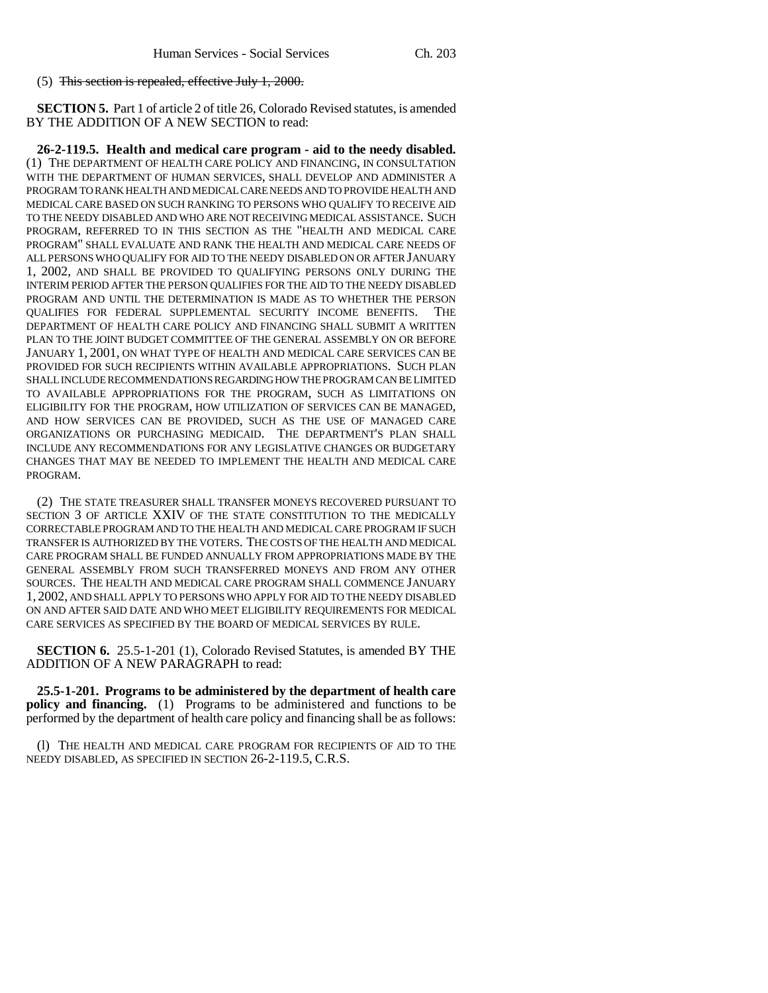(5) This section is repealed, effective July 1, 2000.

**SECTION 5.** Part 1 of article 2 of title 26, Colorado Revised statutes, is amended BY THE ADDITION OF A NEW SECTION to read:

**26-2-119.5. Health and medical care program - aid to the needy disabled.** (1) THE DEPARTMENT OF HEALTH CARE POLICY AND FINANCING, IN CONSULTATION WITH THE DEPARTMENT OF HUMAN SERVICES, SHALL DEVELOP AND ADMINISTER A PROGRAM TO RANK HEALTH AND MEDICAL CARE NEEDS AND TO PROVIDE HEALTH AND MEDICAL CARE BASED ON SUCH RANKING TO PERSONS WHO QUALIFY TO RECEIVE AID TO THE NEEDY DISABLED AND WHO ARE NOT RECEIVING MEDICAL ASSISTANCE. SUCH PROGRAM, REFERRED TO IN THIS SECTION AS THE "HEALTH AND MEDICAL CARE PROGRAM" SHALL EVALUATE AND RANK THE HEALTH AND MEDICAL CARE NEEDS OF ALL PERSONS WHO QUALIFY FOR AID TO THE NEEDY DISABLED ON OR AFTER JANUARY 1, 2002, AND SHALL BE PROVIDED TO QUALIFYING PERSONS ONLY DURING THE INTERIM PERIOD AFTER THE PERSON QUALIFIES FOR THE AID TO THE NEEDY DISABLED PROGRAM AND UNTIL THE DETERMINATION IS MADE AS TO WHETHER THE PERSON QUALIFIES FOR FEDERAL SUPPLEMENTAL SECURITY INCOME BENEFITS. THE DEPARTMENT OF HEALTH CARE POLICY AND FINANCING SHALL SUBMIT A WRITTEN PLAN TO THE JOINT BUDGET COMMITTEE OF THE GENERAL ASSEMBLY ON OR BEFORE JANUARY 1, 2001, ON WHAT TYPE OF HEALTH AND MEDICAL CARE SERVICES CAN BE PROVIDED FOR SUCH RECIPIENTS WITHIN AVAILABLE APPROPRIATIONS. SUCH PLAN SHALL INCLUDE RECOMMENDATIONS REGARDING HOW THE PROGRAM CAN BE LIMITED TO AVAILABLE APPROPRIATIONS FOR THE PROGRAM, SUCH AS LIMITATIONS ON ELIGIBILITY FOR THE PROGRAM, HOW UTILIZATION OF SERVICES CAN BE MANAGED, AND HOW SERVICES CAN BE PROVIDED, SUCH AS THE USE OF MANAGED CARE ORGANIZATIONS OR PURCHASING MEDICAID. THE DEPARTMENT'S PLAN SHALL INCLUDE ANY RECOMMENDATIONS FOR ANY LEGISLATIVE CHANGES OR BUDGETARY CHANGES THAT MAY BE NEEDED TO IMPLEMENT THE HEALTH AND MEDICAL CARE PROGRAM.

(2) THE STATE TREASURER SHALL TRANSFER MONEYS RECOVERED PURSUANT TO SECTION 3 OF ARTICLE XXIV OF THE STATE CONSTITUTION TO THE MEDICALLY CORRECTABLE PROGRAM AND TO THE HEALTH AND MEDICAL CARE PROGRAM IF SUCH TRANSFER IS AUTHORIZED BY THE VOTERS. THE COSTS OF THE HEALTH AND MEDICAL CARE PROGRAM SHALL BE FUNDED ANNUALLY FROM APPROPRIATIONS MADE BY THE GENERAL ASSEMBLY FROM SUCH TRANSFERRED MONEYS AND FROM ANY OTHER SOURCES. THE HEALTH AND MEDICAL CARE PROGRAM SHALL COMMENCE JANUARY 1, 2002, AND SHALL APPLY TO PERSONS WHO APPLY FOR AID TO THE NEEDY DISABLED ON AND AFTER SAID DATE AND WHO MEET ELIGIBILITY REQUIREMENTS FOR MEDICAL CARE SERVICES AS SPECIFIED BY THE BOARD OF MEDICAL SERVICES BY RULE.

**SECTION 6.** 25.5-1-201 (1), Colorado Revised Statutes, is amended BY THE ADDITION OF A NEW PARAGRAPH to read:

**25.5-1-201. Programs to be administered by the department of health care policy and financing.** (1) Programs to be administered and functions to be performed by the department of health care policy and financing shall be as follows:

(l) THE HEALTH AND MEDICAL CARE PROGRAM FOR RECIPIENTS OF AID TO THE NEEDY DISABLED, AS SPECIFIED IN SECTION 26-2-119.5, C.R.S.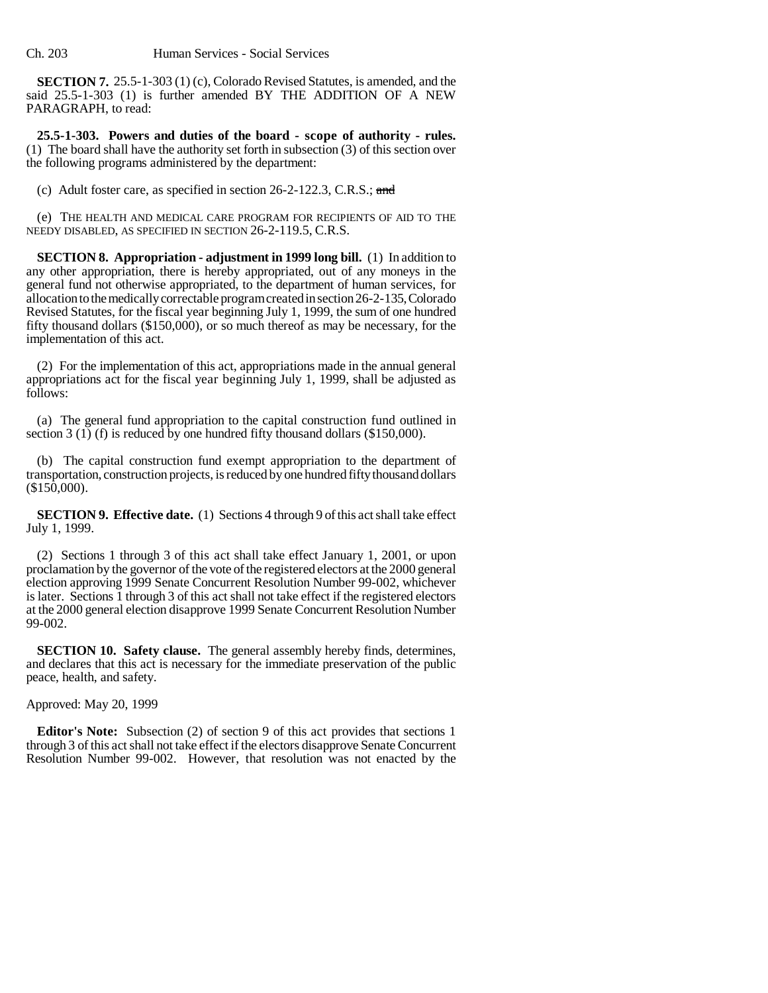**SECTION 7.** 25.5-1-303 (1) (c), Colorado Revised Statutes, is amended, and the said 25.5-1-303 (1) is further amended BY THE ADDITION OF A NEW PARAGRAPH, to read:

**25.5-1-303. Powers and duties of the board - scope of authority - rules.** (1) The board shall have the authority set forth in subsection (3) of this section over the following programs administered by the department:

(c) Adult foster care, as specified in section 26-2-122.3, C.R.S.; and

(e) THE HEALTH AND MEDICAL CARE PROGRAM FOR RECIPIENTS OF AID TO THE NEEDY DISABLED, AS SPECIFIED IN SECTION 26-2-119.5, C.R.S.

**SECTION 8. Appropriation - adjustment in 1999 long bill.** (1) In addition to any other appropriation, there is hereby appropriated, out of any moneys in the general fund not otherwise appropriated, to the department of human services, for allocation to the medically correctable program created in section 26-2-135, Colorado Revised Statutes, for the fiscal year beginning July 1, 1999, the sum of one hundred fifty thousand dollars (\$150,000), or so much thereof as may be necessary, for the implementation of this act.

(2) For the implementation of this act, appropriations made in the annual general appropriations act for the fiscal year beginning July 1, 1999, shall be adjusted as follows:

(a) The general fund appropriation to the capital construction fund outlined in section 3 (1) (f) is reduced by one hundred fifty thousand dollars (\$150,000).

(b) The capital construction fund exempt appropriation to the department of transportation, construction projects, is reduced by one hundred fifty thousand dollars (\$150,000).

**SECTION 9. Effective date.** (1) Sections 4 through 9 of this act shall take effect July 1, 1999.

(2) Sections 1 through 3 of this act shall take effect January 1, 2001, or upon proclamation by the governor of the vote of the registered electors at the 2000 general election approving 1999 Senate Concurrent Resolution Number 99-002, whichever is later. Sections 1 through 3 of this act shall not take effect if the registered electors at the 2000 general election disapprove 1999 Senate Concurrent Resolution Number 99-002.

**SECTION 10. Safety clause.** The general assembly hereby finds, determines, and declares that this act is necessary for the immediate preservation of the public peace, health, and safety.

Approved: May 20, 1999

**Editor's Note:** Subsection (2) of section 9 of this act provides that sections 1 through 3 of this act shall not take effect if the electors disapprove Senate Concurrent Resolution Number 99-002. However, that resolution was not enacted by the